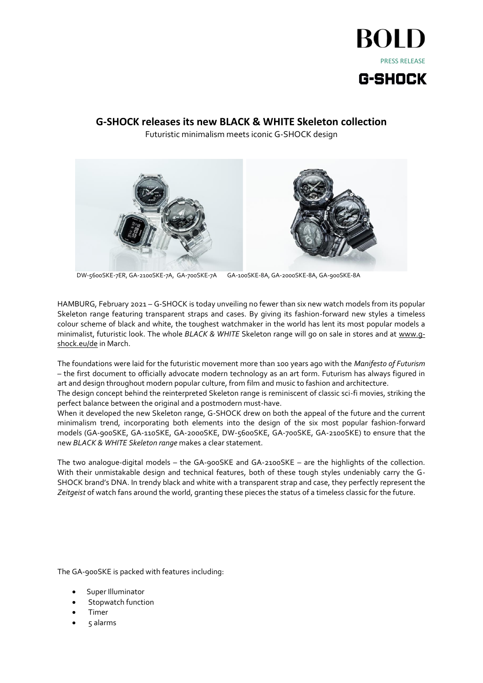

## **G-SHOCK releases its new BLACK & WHITE Skeleton collection**

Futuristic minimalism meets iconic G-SHOCK design





GA-100SKE-8A, GA-2000SKE-8A, GA-900SKE-8A DW-5600SKE-7ER, GA-2100SKE-7A, GA-700SKE-7A

HAMBURG, February 2021 – G-SHOCK is today unveiling no fewer than six new watch models from its popular Skeleton range featuring transparent straps and cases. By giving its fashion-forward new styles a timeless colour scheme of black and white, the toughest watchmaker in the world has lent its most popular models a minimalist, futuristic look. The whole *BLACK & WHITE* Skeleton range will go on sale in stores and at [www.g](http://www.g-shock.eu/de)[shock.eu/de](http://www.g-shock.eu/de) in March.

The foundations were laid for the futuristic movement more than 100 years ago with the *Manifesto of Futurism* – the first document to officially advocate modern technology as an art form. Futurism has always figured in art and design throughout modern popular culture, from film and music to fashion and architecture.

The design concept behind the reinterpreted Skeleton range is reminiscent of classic sci-fi movies, striking the perfect balance between the original and a postmodern must-have.

When it developed the new Skeleton range, G-SHOCK drew on both the appeal of the future and the current minimalism trend, incorporating both elements into the design of the six most popular fashion-forward models (GA-900SKE, GA-110SKE, GA-2000SKE, DW-5600SKE, GA-700SKE, GA-2100SKE) to ensure that the new *BLACK & WHITE Skeleton range* makes a clear statement.

The two analogue-digital models – the GA-900SKE and GA-2100SKE – are the highlights of the collection. With their unmistakable design and technical features, both of these tough styles undeniably carry the G-SHOCK brand's DNA. In trendy black and white with a transparent strap and case, they perfectly represent the *Zeitgeist* of watch fans around the world, granting these pieces the status of a timeless classic for the future.

The GA-900SKE is packed with features including:

- Super Illuminator
- Stopwatch function
- Timer
- 5 alarms